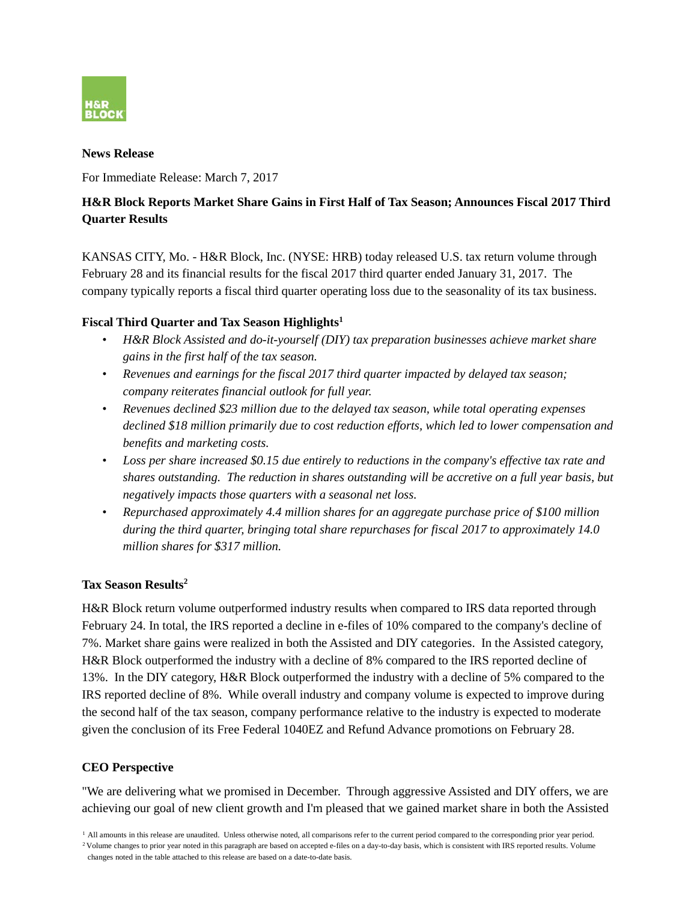

#### **News Release**

For Immediate Release: March 7, 2017

# **H&R Block Reports Market Share Gains in First Half of Tax Season; Announces Fiscal 2017 Third Quarter Results**

KANSAS CITY, Mo. - H&R Block, Inc. (NYSE: HRB) today released U.S. tax return volume through February 28 and its financial results for the fiscal 2017 third quarter ended January 31, 2017. The company typically reports a fiscal third quarter operating loss due to the seasonality of its tax business.

# **Fiscal Third Quarter and Tax Season Highlights1**

- *H&R Block Assisted and do-it-yourself (DIY) tax preparation businesses achieve market share gains in the first half of the tax season.*
- *Revenues and earnings for the fiscal 2017 third quarter impacted by delayed tax season; company reiterates financial outlook for full year.*
- *Revenues declined \$23 million due to the delayed tax season, while total operating expenses declined \$18 million primarily due to cost reduction efforts, which led to lower compensation and benefits and marketing costs.*
- *Loss per share increased \$0.15 due entirely to reductions in the company's effective tax rate and shares outstanding. The reduction in shares outstanding will be accretive on a full year basis, but negatively impacts those quarters with a seasonal net loss.*
- *Repurchased approximately 4.4 million shares for an aggregate purchase price of \$100 million during the third quarter, bringing total share repurchases for fiscal 2017 to approximately 14.0 million shares for \$317 million.*

# **Tax Season Results2**

H&R Block return volume outperformed industry results when compared to IRS data reported through February 24. In total, the IRS reported a decline in e-files of 10% compared to the company's decline of 7%. Market share gains were realized in both the Assisted and DIY categories. In the Assisted category, H&R Block outperformed the industry with a decline of 8% compared to the IRS reported decline of 13%. In the DIY category, H&R Block outperformed the industry with a decline of 5% compared to the IRS reported decline of 8%. While overall industry and company volume is expected to improve during the second half of the tax season, company performance relative to the industry is expected to moderate given the conclusion of its Free Federal 1040EZ and Refund Advance promotions on February 28.

# **CEO Perspective**

"We are delivering what we promised in December. Through aggressive Assisted and DIY offers, we are achieving our goal of new client growth and I'm pleased that we gained market share in both the Assisted

<sup>2</sup> Volume changes to prior year noted in this paragraph are based on accepted e-files on a day-to-day basis, which is consistent with IRS reported results. Volume changes noted in the table attached to this release are based on a date-to-date basis.

<sup>&</sup>lt;sup>1</sup> All amounts in this release are unaudited. Unless otherwise noted, all comparisons refer to the current period compared to the corresponding prior year period.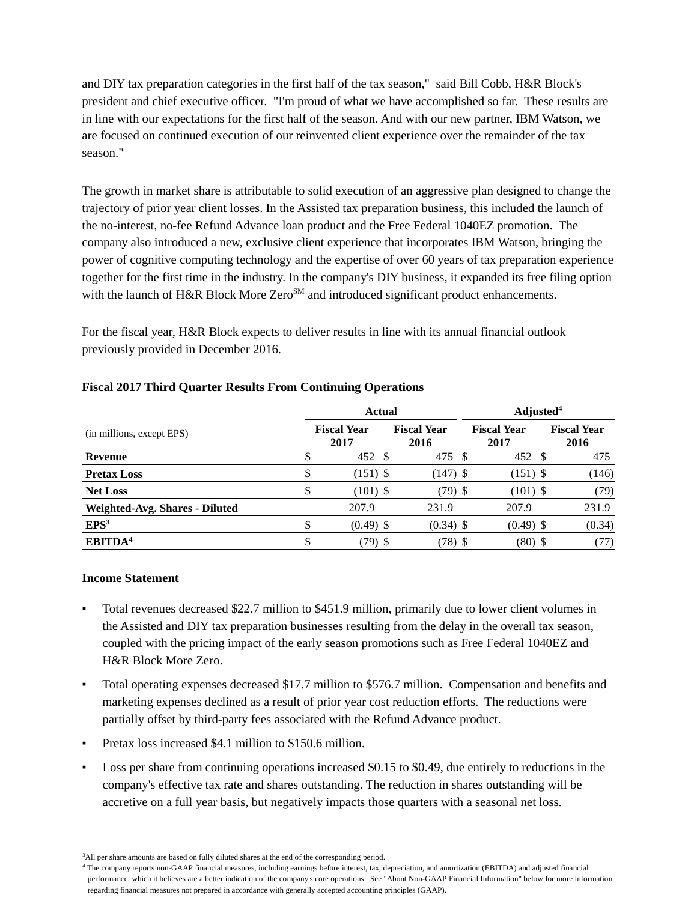and DIY tax preparation categories in the first half of the tax season," said Bill Cobb, H&R Block's president and chief executive officer. "I'm proud of what we have accomplished so far. These results are in line with our expectations for the first half of the season. And with our new partner, IBM Watson, we are focused on continued execution of our reinvented client experience over the remainder of the tax season."

The growth in market share is attributable to solid execution of an aggressive plan designed to change the trajectory of prior year client losses. In the Assisted tax preparation business, this included the launch of the no-interest, no-fee Refund Advance loan product and the Free Federal 1040EZ promotion. The company also introduced a new, exclusive client experience that incorporates IBM Watson, bringing the power of cognitive computing technology and the expertise of over 60 years of tax preparation experience together for the first time in the industry. In the company's DIY business, it expanded its free filing option with the launch of H&R Block More Zero<sup>SM</sup> and introduced significant product enhancements.

For the fiscal year, H&R Block expects to deliver results in line with its annual financial outlook previously provided in December 2016.

|                                       | <b>Actual</b>              |                            | Adjusted <sup>4</sup>      |                            |  |  |  |  |
|---------------------------------------|----------------------------|----------------------------|----------------------------|----------------------------|--|--|--|--|
| (in millions, except EPS)             | <b>Fiscal Year</b><br>2017 | <b>Fiscal Year</b><br>2016 | <b>Fiscal Year</b><br>2017 | <b>Fiscal Year</b><br>2016 |  |  |  |  |
| Revenue                               | 452 \$                     | 475 \$                     | 452 \$                     | 475                        |  |  |  |  |
| <b>Pretax Loss</b>                    | $(151)$ \$                 | $(147)$ \$                 | $(151)$ \$                 | (146)                      |  |  |  |  |
| <b>Net Loss</b>                       | $(101)$ \$                 | $(79)$ \$                  | $(101)$ \$                 | (79)                       |  |  |  |  |
| <b>Weighted-Avg. Shares - Diluted</b> | 207.9                      | 231.9                      | 207.9                      | 231.9                      |  |  |  |  |
| EPS <sup>3</sup>                      | $(0.49)$ \$                | $(0.34)$ \$                | $(0.49)$ \$                | (0.34)                     |  |  |  |  |
| EBITDA <sup>4</sup>                   | (79) \$                    | $(78)$ \$                  | $(80)$ \$                  | (77)                       |  |  |  |  |

## **Fiscal 2017 Third Quarter Results From Continuing Operations**

#### **Income Statement**

- Total revenues decreased \$22.7 million to \$451.9 million, primarily due to lower client volumes in the Assisted and DIY tax preparation businesses resulting from the delay in the overall tax season, coupled with the pricing impact of the early season promotions such as Free Federal 1040EZ and H&R Block More Zero.
- Total operating expenses decreased \$17.7 million to \$576.7 million. Compensation and benefits and marketing expenses declined as a result of prior year cost reduction efforts. The reductions were partially offset by third-party fees associated with the Refund Advance product.
- Pretax loss increased \$4.1 million to \$150.6 million.
- Loss per share from continuing operations increased  $$0.15$  to  $$0.49$ , due entirely to reductions in the company's effective tax rate and shares outstanding. The reduction in shares outstanding will be accretive on a full year basis, but negatively impacts those quarters with a seasonal net loss.

<sup>&</sup>lt;sup>3</sup>All per share amounts are based on fully diluted shares at the end of the corresponding period.

<sup>4</sup> The company reports non-GAAP financial measures, including earnings before interest, tax, depreciation, and amortization (EBITDA) and adjusted financial performance, which it believes are a better indication of the company's core operations. See "About Non-GAAP Financial Information" below for more information regarding financial measures not prepared in accordance with generally accepted accounting principles (GAAP).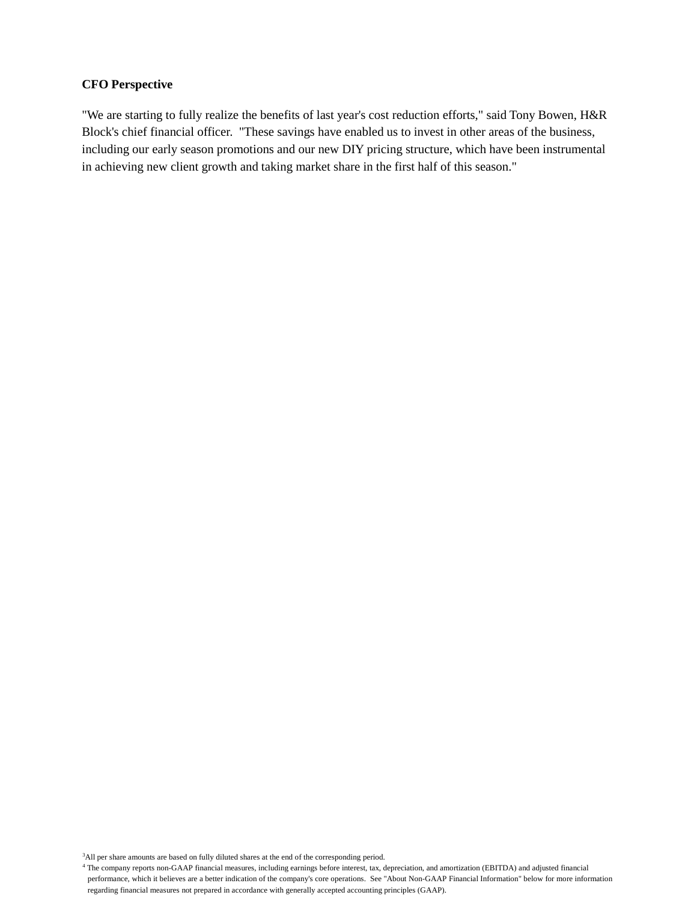#### **CFO Perspective**

"We are starting to fully realize the benefits of last year's cost reduction efforts," said Tony Bowen, H&R Block's chief financial officer. "These savings have enabled us to invest in other areas of the business, including our early season promotions and our new DIY pricing structure, which have been instrumental in achieving new client growth and taking market share in the first half of this season."

<sup>3</sup>All per share amounts are based on fully diluted shares at the end of the corresponding period.

<sup>4</sup> The company reports non-GAAP financial measures, including earnings before interest, tax, depreciation, and amortization (EBITDA) and adjusted financial performance, which it believes are a better indication of the company's core operations. See "About Non-GAAP Financial Information" below for more information regarding financial measures not prepared in accordance with generally accepted accounting principles (GAAP).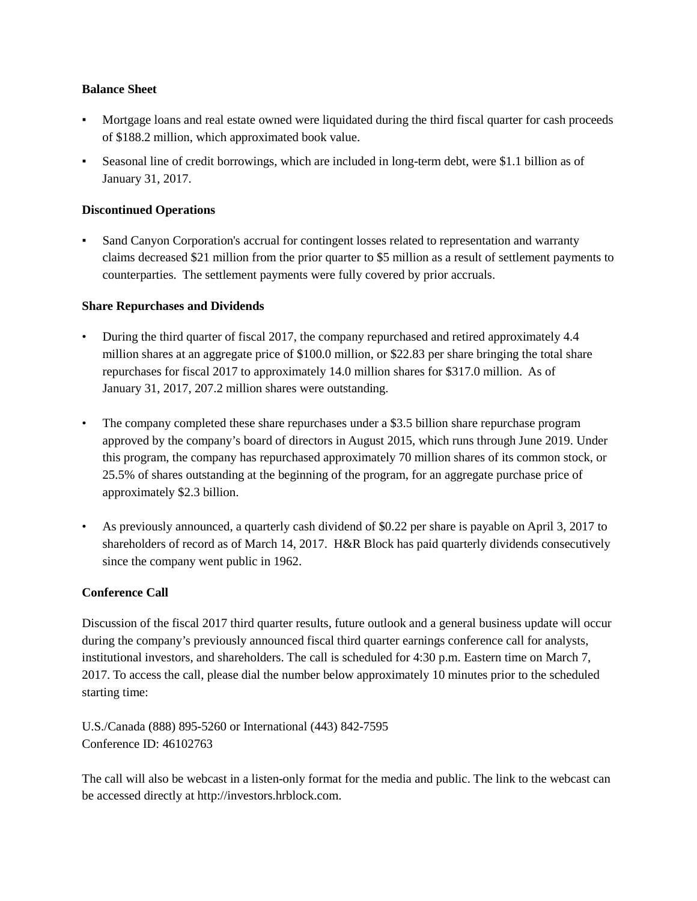### **Balance Sheet**

- Mortgage loans and real estate owned were liquidated during the third fiscal quarter for cash proceeds of \$188.2 million, which approximated book value.
- Seasonal line of credit borrowings, which are included in long-term debt, were \$1.1 billion as of January 31, 2017.

# **Discontinued Operations**

Sand Canyon Corporation's accrual for contingent losses related to representation and warranty claims decreased \$21 million from the prior quarter to \$5 million as a result of settlement payments to counterparties. The settlement payments were fully covered by prior accruals.

## **Share Repurchases and Dividends**

- During the third quarter of fiscal 2017, the company repurchased and retired approximately 4.4 million shares at an aggregate price of \$100.0 million, or \$22.83 per share bringing the total share repurchases for fiscal 2017 to approximately 14.0 million shares for \$317.0 million. As of January 31, 2017, 207.2 million shares were outstanding.
- The company completed these share repurchases under a \$3.5 billion share repurchase program approved by the company's board of directors in August 2015, which runs through June 2019. Under this program, the company has repurchased approximately 70 million shares of its common stock, or 25.5% of shares outstanding at the beginning of the program, for an aggregate purchase price of approximately \$2.3 billion.
- As previously announced, a quarterly cash dividend of \$0.22 per share is payable on April 3, 2017 to shareholders of record as of March 14, 2017. H&R Block has paid quarterly dividends consecutively since the company went public in 1962.

# **Conference Call**

Discussion of the fiscal 2017 third quarter results, future outlook and a general business update will occur during the company's previously announced fiscal third quarter earnings conference call for analysts, institutional investors, and shareholders. The call is scheduled for 4:30 p.m. Eastern time on March 7, 2017. To access the call, please dial the number below approximately 10 minutes prior to the scheduled starting time:

U.S./Canada (888) 895-5260 or International (443) 842-7595 Conference ID: 46102763

The call will also be webcast in a listen-only format for the media and public. The link to the webcast can be accessed directly at http://investors.hrblock.com.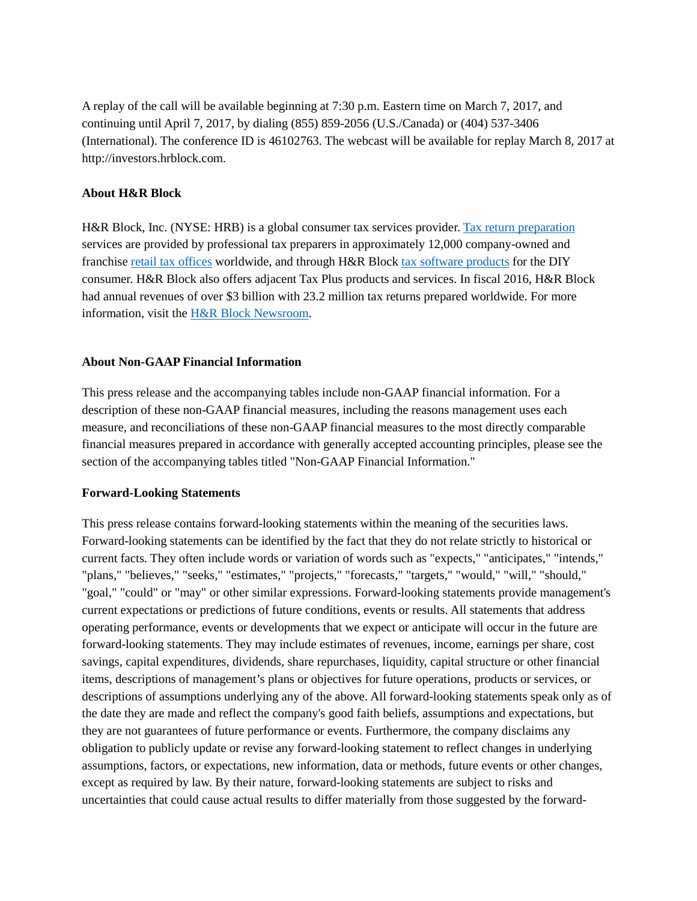A replay of the call will be available beginning at 7:30 p.m. Eastern time on March 7, 2017, and continuing until April 7, 2017, by dialing (855) 859-2056 (U.S./Canada) or (404) 537-3406 (International). The conference ID is 46102763. The webcast will be available for replay March 8, 2017 at http://investors.hrblock.com.

#### **About H&R Block**

H&R Block, Inc. (NYSE: HRB) is a global consumer tax services provider. [Tax return preparation](https://www.hrblock.com/tax-offices/) services are provided by professional tax preparers in approximately 12,000 company-owned and franchise [retail tax offices](https://www.hrblock.com/tax-offices/local-offices/#!/en/office-locator?src=nearest-other%20appt) worldwide, and through H&R Block [tax software products](https://www.hrblock.com/tax-software/) for the DIY consumer. H&R Block also offers adjacent Tax Plus products and services. In fiscal 2016, H&R Block had annual revenues of over \$3 billion with 23.2 million tax returns prepared worldwide. For more information, visit the [H&R Block Newsroom.](http://newsroom.hrblock.com/)

#### **About Non-GAAP Financial Information**

This press release and the accompanying tables include non-GAAP financial information. For a description of these non-GAAP financial measures, including the reasons management uses each measure, and reconciliations of these non-GAAP financial measures to the most directly comparable financial measures prepared in accordance with generally accepted accounting principles, please see the section of the accompanying tables titled "Non-GAAP Financial Information."

#### **Forward-Looking Statements**

This press release contains forward-looking statements within the meaning of the securities laws. Forward-looking statements can be identified by the fact that they do not relate strictly to historical or current facts. They often include words or variation of words such as "expects," "anticipates," "intends," "plans," "believes," "seeks," "estimates," "projects," "forecasts," "targets," "would," "will," "should," "goal," "could" or "may" or other similar expressions. Forward-looking statements provide management's current expectations or predictions of future conditions, events or results. All statements that address operating performance, events or developments that we expect or anticipate will occur in the future are forward-looking statements. They may include estimates of revenues, income, earnings per share, cost savings, capital expenditures, dividends, share repurchases, liquidity, capital structure or other financial items, descriptions of management's plans or objectives for future operations, products or services, or descriptions of assumptions underlying any of the above. All forward-looking statements speak only as of the date they are made and reflect the company's good faith beliefs, assumptions and expectations, but they are not guarantees of future performance or events. Furthermore, the company disclaims any obligation to publicly update or revise any forward-looking statement to reflect changes in underlying assumptions, factors, or expectations, new information, data or methods, future events or other changes, except as required by law. By their nature, forward-looking statements are subject to risks and uncertainties that could cause actual results to differ materially from those suggested by the forward-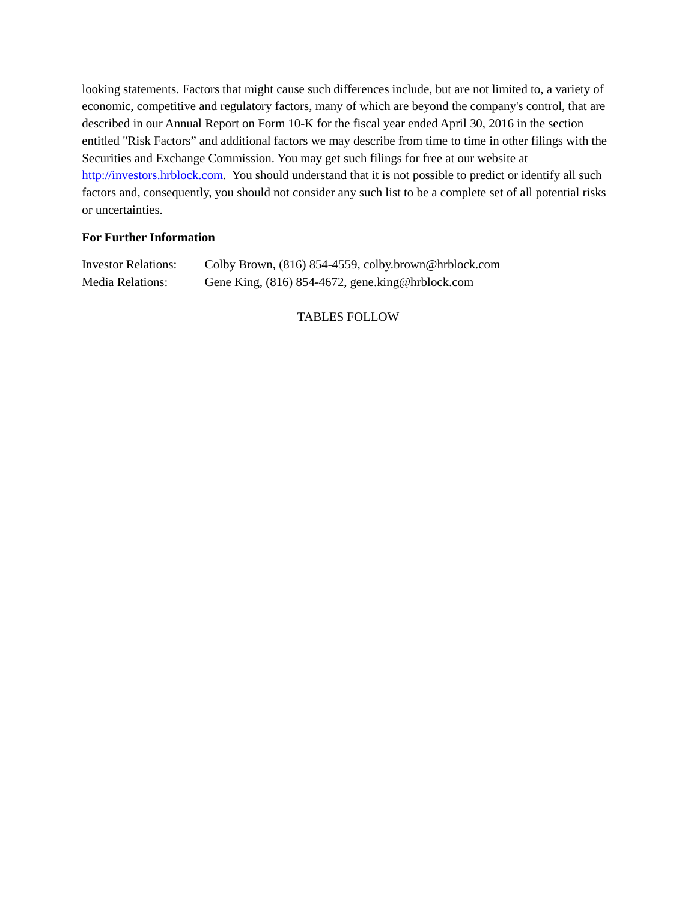looking statements. Factors that might cause such differences include, but are not limited to, a variety of economic, competitive and regulatory factors, many of which are beyond the company's control, that are described in our Annual Report on Form 10-K for the fiscal year ended April 30, 2016 in the section entitled "Risk Factors" and additional factors we may describe from time to time in other filings with the Securities and Exchange Commission. You may get such filings for free at our website at http://investors.hrblock.com. You should understand that it is not possible to predict or identify all such factors and, consequently, you should not consider any such list to be a complete set of all potential risks or uncertainties.

# **For Further Information**

| <b>Investor Relations:</b> | Colby Brown, (816) 854-4559, colby.brown@hrblock.com |
|----------------------------|------------------------------------------------------|
| <b>Media Relations:</b>    | Gene King, (816) 854-4672, gene.king@hrblock.com     |

# TABLES FOLLOW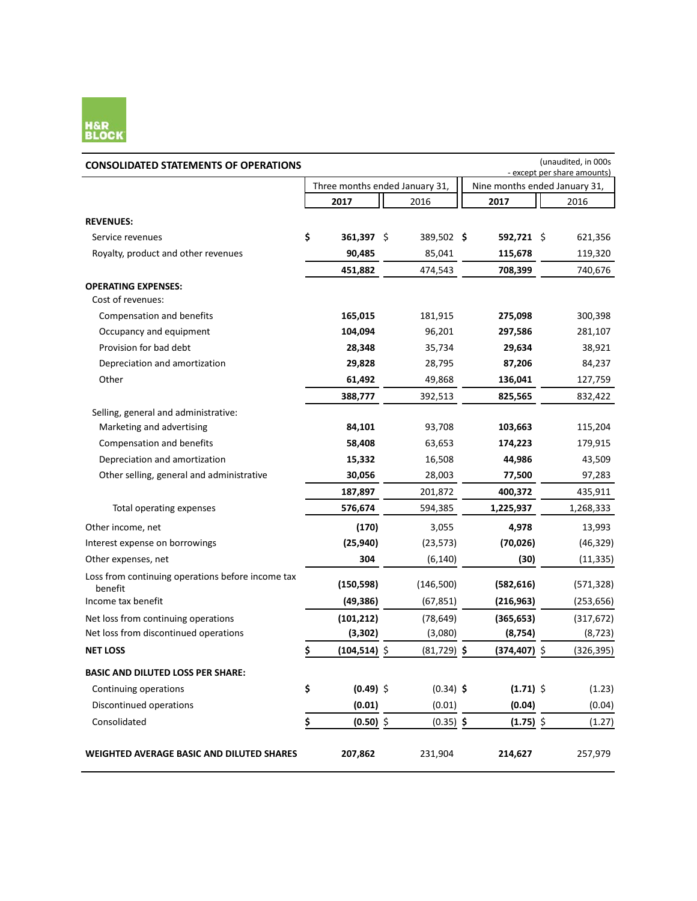

| <b>CONSOLIDATED STATEMENTS OF OPERATIONS</b>                 |                                |               |                               | (unaudited, in 000s<br>- except per share amounts) |
|--------------------------------------------------------------|--------------------------------|---------------|-------------------------------|----------------------------------------------------|
|                                                              | Three months ended January 31, |               | Nine months ended January 31, |                                                    |
|                                                              | 2017                           | 2016          | 2017                          | 2016                                               |
| <b>REVENUES:</b>                                             |                                |               |                               |                                                    |
| Service revenues                                             | \$<br>361,397 \$               | 389,502 \$    | 592,721 \$                    | 621,356                                            |
| Royalty, product and other revenues                          | 90,485                         | 85,041        | 115,678                       | 119,320                                            |
|                                                              | 451,882                        | 474,543       | 708,399                       | 740,676                                            |
| <b>OPERATING EXPENSES:</b>                                   |                                |               |                               |                                                    |
| Cost of revenues:                                            |                                |               |                               |                                                    |
| Compensation and benefits                                    | 165,015                        | 181,915       | 275,098                       | 300,398                                            |
| Occupancy and equipment                                      | 104,094                        | 96,201        | 297,586                       | 281,107                                            |
| Provision for bad debt                                       | 28,348                         | 35,734        | 29,634                        | 38,921                                             |
| Depreciation and amortization                                | 29,828                         | 28,795        | 87,206                        | 84,237                                             |
| Other                                                        | 61,492                         | 49,868        | 136,041                       | 127,759                                            |
|                                                              | 388,777                        | 392,513       | 825,565                       | 832,422                                            |
| Selling, general and administrative:                         |                                |               |                               |                                                    |
| Marketing and advertising                                    | 84,101                         | 93,708        | 103,663                       | 115,204                                            |
| Compensation and benefits                                    | 58,408                         | 63,653        | 174,223                       | 179,915                                            |
| Depreciation and amortization                                | 15,332                         | 16,508        | 44,986                        | 43,509                                             |
| Other selling, general and administrative                    | 30,056                         | 28,003        | 77,500                        | 97,283                                             |
|                                                              | 187,897                        | 201,872       | 400,372                       | 435,911                                            |
| Total operating expenses                                     | 576,674                        | 594,385       | 1,225,937                     | 1,268,333                                          |
| Other income, net                                            | (170)                          | 3,055         | 4,978                         | 13,993                                             |
| Interest expense on borrowings                               | (25, 940)                      | (23, 573)     | (70, 026)                     | (46, 329)                                          |
| Other expenses, net                                          | 304                            | (6, 140)      | (30)                          | (11, 335)                                          |
| Loss from continuing operations before income tax<br>benefit | (150, 598)                     | (146,500)     | (582, 616)                    | (571, 328)                                         |
| Income tax benefit                                           | (49, 386)                      | (67, 851)     | (216, 963)                    | (253, 656)                                         |
| Net loss from continuing operations                          | (101, 212)                     | (78, 649)     | (365, 653)                    | (317, 672)                                         |
| Net loss from discontinued operations                        | (3, 302)                       | (3,080)       | (8, 754)                      | (8, 723)                                           |
| <b>NET LOSS</b>                                              | \$<br>$(104, 514)$ \$          | $(81,729)$ \$ | $(374, 407)$ \$               | (326, 395)                                         |
| <b>BASIC AND DILUTED LOSS PER SHARE:</b>                     |                                |               |                               |                                                    |
| Continuing operations                                        | \$<br>$(0.49)$ \$              | $(0.34)$ \$   | $(1.71)$ \$                   | (1.23)                                             |
| Discontinued operations                                      | (0.01)                         | (0.01)        | (0.04)                        | (0.04)                                             |
| Consolidated                                                 | \$<br>$(0.50)$ \$              | $(0.35)$ \$   | $(1.75)$ \$                   | (1.27)                                             |
| <b>WEIGHTED AVERAGE BASIC AND DILUTED SHARES</b>             | 207,862                        | 231,904       | 214,627                       | 257,979                                            |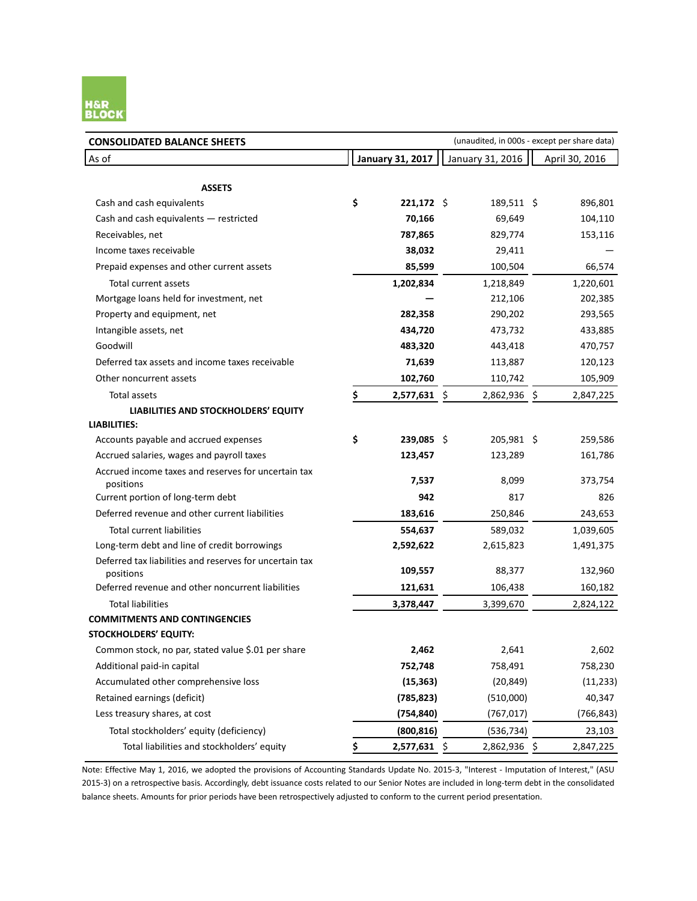

| <b>CONSOLIDATED BALANCE SHEETS</b>                                   | (unaudited, in 000s - except per share data)                  |              |  |              |  |            |  |  |
|----------------------------------------------------------------------|---------------------------------------------------------------|--------------|--|--------------|--|------------|--|--|
| As of                                                                | <b>January 31, 2017</b><br>January 31, 2016<br>April 30, 2016 |              |  |              |  |            |  |  |
|                                                                      |                                                               |              |  |              |  |            |  |  |
| <b>ASSETS</b>                                                        |                                                               |              |  |              |  |            |  |  |
| Cash and cash equivalents                                            | \$                                                            | $221,172$ \$ |  | 189,511 \$   |  | 896,801    |  |  |
| Cash and cash equivalents - restricted                               |                                                               | 70,166       |  | 69,649       |  | 104,110    |  |  |
| Receivables, net                                                     |                                                               | 787,865      |  | 829,774      |  | 153,116    |  |  |
| Income taxes receivable                                              |                                                               | 38,032       |  | 29,411       |  |            |  |  |
| Prepaid expenses and other current assets                            |                                                               | 85,599       |  | 100,504      |  | 66,574     |  |  |
| Total current assets                                                 |                                                               | 1,202,834    |  | 1,218,849    |  | 1,220,601  |  |  |
| Mortgage loans held for investment, net                              |                                                               |              |  | 212,106      |  | 202,385    |  |  |
| Property and equipment, net                                          |                                                               | 282,358      |  | 290,202      |  | 293,565    |  |  |
| Intangible assets, net                                               |                                                               | 434,720      |  | 473,732      |  | 433,885    |  |  |
| Goodwill                                                             |                                                               | 483,320      |  | 443,418      |  | 470,757    |  |  |
| Deferred tax assets and income taxes receivable                      |                                                               | 71,639       |  | 113,887      |  | 120,123    |  |  |
| Other noncurrent assets                                              |                                                               | 102,760      |  | 110,742      |  | 105,909    |  |  |
| Total assets                                                         | \$                                                            | 2,577,631 \$ |  | 2,862,936 \$ |  | 2,847,225  |  |  |
| LIABILITIES AND STOCKHOLDERS' EQUITY                                 |                                                               |              |  |              |  |            |  |  |
| <b>LIABILITIES:</b>                                                  |                                                               |              |  |              |  |            |  |  |
| Accounts payable and accrued expenses                                | \$                                                            | 239,085 \$   |  | 205,981 \$   |  | 259,586    |  |  |
| Accrued salaries, wages and payroll taxes                            |                                                               | 123,457      |  | 123,289      |  | 161,786    |  |  |
| Accrued income taxes and reserves for uncertain tax<br>positions     |                                                               | 7,537        |  | 8,099        |  | 373,754    |  |  |
| Current portion of long-term debt                                    |                                                               | 942          |  | 817          |  | 826        |  |  |
| Deferred revenue and other current liabilities                       |                                                               | 183,616      |  | 250,846      |  | 243,653    |  |  |
| <b>Total current liabilities</b>                                     |                                                               | 554,637      |  | 589,032      |  | 1,039,605  |  |  |
| Long-term debt and line of credit borrowings                         |                                                               | 2,592,622    |  | 2,615,823    |  | 1,491,375  |  |  |
| Deferred tax liabilities and reserves for uncertain tax<br>positions |                                                               | 109,557      |  | 88,377       |  | 132,960    |  |  |
| Deferred revenue and other noncurrent liabilities                    |                                                               | 121,631      |  | 106,438      |  | 160,182    |  |  |
| <b>Total liabilities</b>                                             |                                                               | 3,378,447    |  | 3,399,670    |  | 2,824,122  |  |  |
| <b>COMMITMENTS AND CONTINGENCIES</b>                                 |                                                               |              |  |              |  |            |  |  |
| STOCKHOLDERS' EQUITY:                                                |                                                               |              |  |              |  |            |  |  |
| Common stock, no par, stated value \$.01 per share                   |                                                               | 2,462        |  | 2,641        |  | 2,602      |  |  |
| Additional paid-in capital                                           |                                                               | 752,748      |  | 758,491      |  | 758,230    |  |  |
| Accumulated other comprehensive loss                                 |                                                               | (15, 363)    |  | (20, 849)    |  | (11, 233)  |  |  |
| Retained earnings (deficit)                                          |                                                               | (785, 823)   |  | (510,000)    |  | 40,347     |  |  |
| Less treasury shares, at cost                                        |                                                               | (754, 840)   |  | (767, 017)   |  | (766, 843) |  |  |
| Total stockholders' equity (deficiency)                              |                                                               | (800, 816)   |  | (536, 734)   |  | 23,103     |  |  |
| Total liabilities and stockholders' equity                           | \$                                                            | 2,577,631 \$ |  | 2,862,936 \$ |  | 2,847,225  |  |  |

Note: Effective May 1, 2016, we adopted the provisions of Accounting Standards Update No. 2015-3, "Interest - Imputation of Interest," (ASU 2015-3) on a retrospective basis. Accordingly, debt issuance costs related to our Senior Notes are included in long-term debt in the consolidated balance sheets. Amounts for prior periods have been retrospectively adjusted to conform to the current period presentation.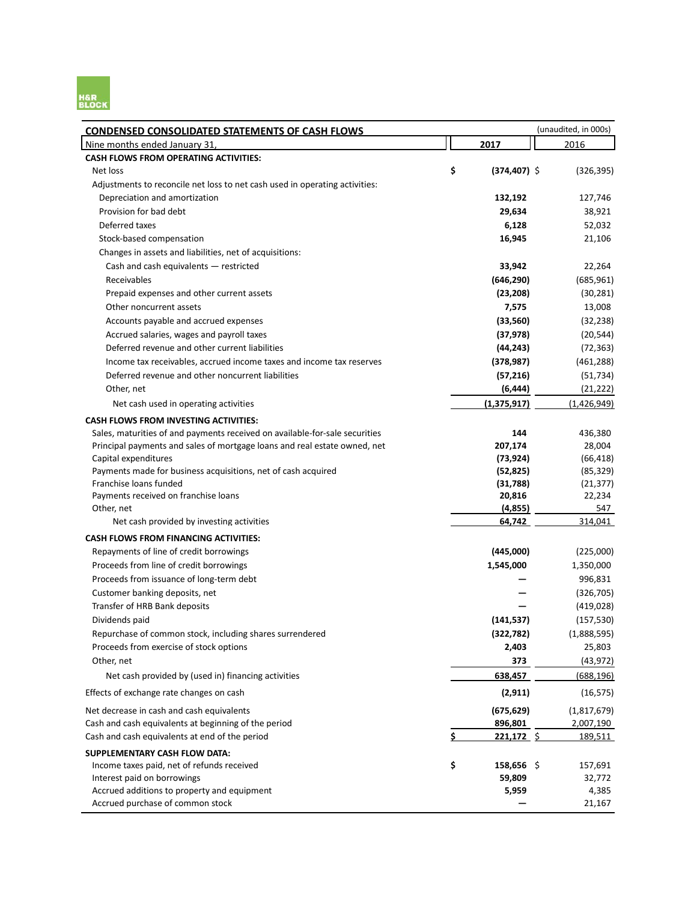

| <b>CONDENSED CONSOLIDATED STATEMENTS OF CASH FLOWS</b>                      |                       | (unaudited, in 000s) |
|-----------------------------------------------------------------------------|-----------------------|----------------------|
| Nine months ended January 31,                                               | 2017                  | 2016                 |
| <b>CASH FLOWS FROM OPERATING ACTIVITIES:</b>                                |                       |                      |
| Net loss                                                                    | \$<br>$(374, 407)$ \$ | (326, 395)           |
| Adjustments to reconcile net loss to net cash used in operating activities: |                       |                      |
| Depreciation and amortization                                               | 132,192               | 127,746              |
| Provision for bad debt                                                      | 29,634                | 38,921               |
| Deferred taxes                                                              | 6,128                 | 52,032               |
| Stock-based compensation                                                    | 16,945                | 21,106               |
| Changes in assets and liabilities, net of acquisitions:                     |                       |                      |
| Cash and cash equivalents - restricted                                      | 33,942                | 22,264               |
| Receivables                                                                 | (646, 290)            | (685, 961)           |
| Prepaid expenses and other current assets                                   | (23, 208)             | (30, 281)            |
| Other noncurrent assets                                                     | 7,575                 | 13,008               |
| Accounts payable and accrued expenses                                       | (33, 560)             | (32, 238)            |
| Accrued salaries, wages and payroll taxes                                   | (37, 978)             | (20, 544)            |
| Deferred revenue and other current liabilities                              | (44, 243)             | (72, 363)            |
| Income tax receivables, accrued income taxes and income tax reserves        | (378, 987)            | (461, 288)           |
| Deferred revenue and other noncurrent liabilities                           | (57, 216)             | (51, 734)            |
| Other, net                                                                  | (6, 444)              | (21, 222)            |
| Net cash used in operating activities                                       | (1, 375, 917)         | (1,426,949)          |
| <b>CASH FLOWS FROM INVESTING ACTIVITIES:</b>                                |                       |                      |
| Sales, maturities of and payments received on available-for-sale securities | 144                   | 436,380              |
| Principal payments and sales of mortgage loans and real estate owned, net   | 207,174               | 28,004               |
| Capital expenditures                                                        | (73, 924)             | (66, 418)            |
| Payments made for business acquisitions, net of cash acquired               | (52, 825)             | (85, 329)            |
| Franchise loans funded                                                      | (31,788)              | (21, 377)            |
| Payments received on franchise loans                                        | 20,816                | 22,234               |
| Other, net                                                                  | (4, 855)              | 547                  |
| Net cash provided by investing activities                                   | 64,742                | 314,041              |
| <b>CASH FLOWS FROM FINANCING ACTIVITIES:</b>                                |                       |                      |
| Repayments of line of credit borrowings                                     | (445,000)             | (225,000)            |
| Proceeds from line of credit borrowings                                     | 1,545,000             | 1,350,000            |
| Proceeds from issuance of long-term debt                                    |                       | 996,831              |
| Customer banking deposits, net                                              |                       | (326, 705)           |
| Transfer of HRB Bank deposits                                               |                       | (419, 028)           |
| Dividends paid                                                              | (141, 537)            | (157, 530)           |
| Repurchase of common stock, including shares surrendered                    | (322, 782)            | (1,888,595)          |
| Proceeds from exercise of stock options                                     | 2,403                 | 25,803               |
| Other, net                                                                  | 373                   | (43, 972)            |
| Net cash provided by (used in) financing activities                         | 638,457               | (688, 196)           |
| Effects of exchange rate changes on cash                                    | (2, 911)              | (16, 575)            |
| Net decrease in cash and cash equivalents                                   | (675, 629)            | (1,817,679)          |
| Cash and cash equivalents at beginning of the period                        | 896,801               | 2,007,190            |
| Cash and cash equivalents at end of the period                              | \$<br>221,172 \$      | 189,511              |
| <b>SUPPLEMENTARY CASH FLOW DATA:</b>                                        |                       |                      |
| Income taxes paid, net of refunds received                                  | \$<br>$158,656$ \$    | 157,691              |
| Interest paid on borrowings                                                 | 59,809                | 32,772               |
| Accrued additions to property and equipment                                 | 5,959                 | 4,385                |
| Accrued purchase of common stock                                            |                       | 21,167               |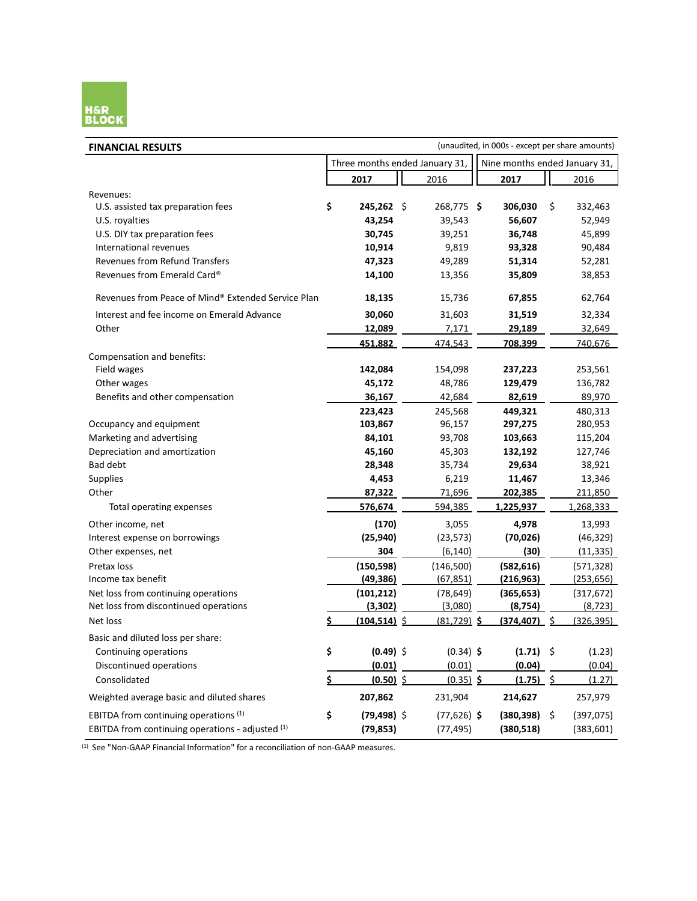

| <b>FINANCIAL RESULTS</b>                           | (unaudited, in 000s - except per share amounts)                 |                  |  |               |  |             |      |            |
|----------------------------------------------------|-----------------------------------------------------------------|------------------|--|---------------|--|-------------|------|------------|
|                                                    | Three months ended January 31,<br>Nine months ended January 31, |                  |  |               |  |             |      |            |
|                                                    |                                                                 | 2017             |  | 2016          |  | 2017        |      | 2016       |
| Revenues:                                          |                                                                 |                  |  |               |  |             |      |            |
| U.S. assisted tax preparation fees                 | \$                                                              | $245,262$ \$     |  | 268,775 \$    |  | 306,030     | \$   | 332,463    |
| U.S. royalties                                     |                                                                 | 43,254           |  | 39,543        |  | 56,607      |      | 52,949     |
| U.S. DIY tax preparation fees                      |                                                                 | 30,745           |  | 39,251        |  | 36,748      |      | 45,899     |
| International revenues                             |                                                                 | 10,914           |  | 9,819         |  | 93,328      |      | 90,484     |
| <b>Revenues from Refund Transfers</b>              |                                                                 | 47,323           |  | 49,289        |  | 51,314      |      | 52,281     |
| Revenues from Emerald Card®                        |                                                                 | 14,100           |  | 13,356        |  | 35,809      |      | 38,853     |
| Revenues from Peace of Mind® Extended Service Plan |                                                                 | 18,135           |  | 15,736        |  | 67,855      |      | 62,764     |
| Interest and fee income on Emerald Advance         |                                                                 | 30,060           |  | 31,603        |  | 31,519      |      | 32,334     |
| Other                                              |                                                                 | <u>12,089</u>    |  | 7,171         |  | 29,189      |      | 32,649     |
|                                                    |                                                                 | 451,882          |  | 474,543       |  | 708,399     |      | 740,676    |
| Compensation and benefits:                         |                                                                 |                  |  |               |  |             |      |            |
| Field wages                                        |                                                                 | 142,084          |  | 154,098       |  | 237,223     |      | 253,561    |
| Other wages                                        |                                                                 | 45,172           |  | 48,786        |  | 129,479     |      | 136,782    |
| Benefits and other compensation                    |                                                                 | 36,167           |  | 42,684        |  | 82,619      |      | 89,970     |
|                                                    |                                                                 | 223,423          |  | 245,568       |  | 449,321     |      | 480,313    |
| Occupancy and equipment                            |                                                                 | 103,867          |  | 96,157        |  | 297,275     |      | 280,953    |
| Marketing and advertising                          |                                                                 | 84,101           |  | 93,708        |  | 103,663     |      | 115,204    |
| Depreciation and amortization                      |                                                                 | 45,160           |  | 45,303        |  | 132,192     |      | 127,746    |
| <b>Bad debt</b>                                    |                                                                 | 28,348           |  | 35,734        |  | 29,634      |      | 38,921     |
| <b>Supplies</b>                                    |                                                                 | 4,453            |  | 6,219         |  | 11,467      |      | 13,346     |
| Other                                              |                                                                 | 87,322           |  | 71,696        |  | 202,385     |      | 211,850    |
| Total operating expenses                           |                                                                 | 576,674          |  | 594,385       |  | 1,225,937   |      | 1,268,333  |
| Other income, net                                  |                                                                 | (170)            |  | 3,055         |  | 4,978       |      | 13,993     |
| Interest expense on borrowings                     |                                                                 | (25, 940)        |  | (23, 573)     |  | (70, 026)   |      | (46, 329)  |
| Other expenses, net                                |                                                                 | 304              |  | (6, 140)      |  | (30)        |      | (11, 335)  |
| Pretax loss                                        |                                                                 | (150, 598)       |  | (146, 500)    |  | (582, 616)  |      | (571, 328) |
| Income tax benefit                                 |                                                                 | (49, 386)        |  | (67, 851)     |  | (216, 963)  |      | (253, 656) |
| Net loss from continuing operations                |                                                                 | (101, 212)       |  | (78, 649)     |  | (365, 653)  |      | (317, 672) |
| Net loss from discontinued operations              |                                                                 | (3,302)          |  | (3,080)       |  | (8, 754)    |      | (8, 723)   |
| Net loss                                           | Ś.                                                              | $(104, 514)$ \$  |  | $(81,729)$ \$ |  | (374.407)   | - \$ | (326.395)  |
| Basic and diluted loss per share:                  |                                                                 |                  |  |               |  |             |      |            |
| Continuing operations                              | \$                                                              | $(0.49)$ \$      |  | $(0.34)$ \$   |  | $(1.71)$ \$ |      | (1.23)     |
| Discontinued operations                            |                                                                 | (0.01)           |  | (0.01)        |  | (0.04)      |      | (0.04)     |
| Consolidated                                       | \$                                                              | <u>(0.50) \$</u> |  | $(0.35)$ \$   |  | $(1.75)$ \$ |      | (1.27)     |
| Weighted average basic and diluted shares          |                                                                 | 207,862          |  | 231,904       |  | 214,627     |      | 257,979    |
| EBITDA from continuing operations (1)              | \$                                                              | (79,498) \$      |  | $(77,626)$ \$ |  | (380, 398)  | Ŝ.   | (397, 075) |
| EBITDA from continuing operations - adjusted (1)   |                                                                 | (79, 853)        |  | (77, 495)     |  | (380, 518)  |      | (383, 601) |

<sup>(1)</sup> See "Non-GAAP Financial Information" for a reconciliation of non-GAAP measures.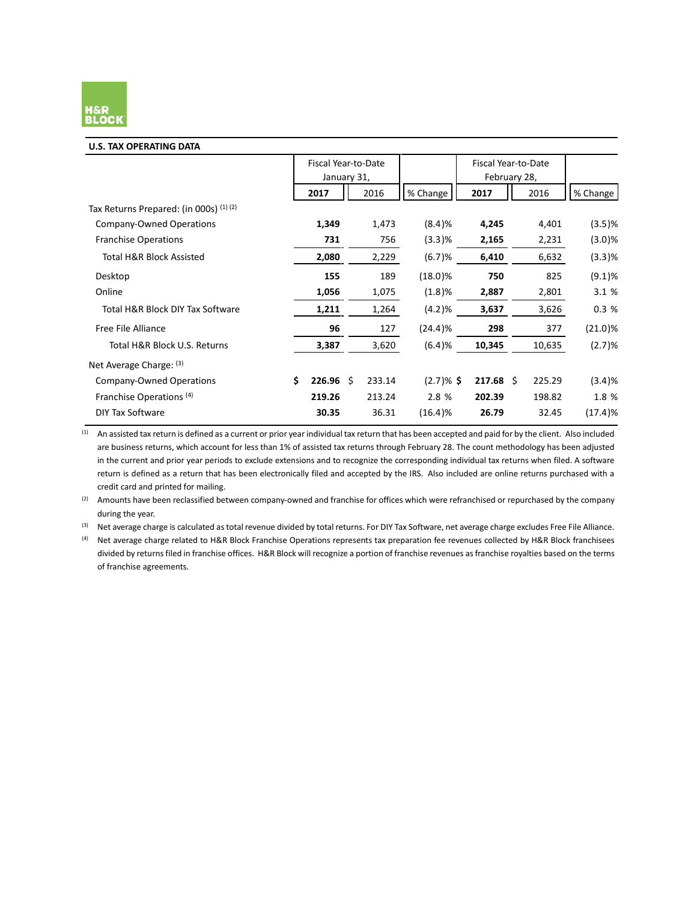

#### **U.S. TAX OPERATING DATA**

|                                          | Fiscal Year-to-Date<br>January 31, |    |        |             | Fiscal Year-to-Date<br>February 28, |        |            |
|------------------------------------------|------------------------------------|----|--------|-------------|-------------------------------------|--------|------------|
|                                          | 2017                               |    | 2016   | % Change    | 2017                                | 2016   | % Change   |
| Tax Returns Prepared: (in 000s) $(1)(2)$ |                                    |    |        |             |                                     |        |            |
| Company-Owned Operations                 | 1,349                              |    | 1,473  | (8.4)%      | 4,245                               | 4,401  | (3.5)%     |
| <b>Franchise Operations</b>              | 731                                |    | 756    | $(3.3)$ %   | 2,165                               | 2,231  | (3.0)%     |
| Total H&R Block Assisted                 | 2,080                              |    | 2,229  | (6.7)%      | 6,410                               | 6,632  | $(3.3)$ %  |
| Desktop                                  | 155                                |    | 189    | $(18.0)$ %  | 750                                 | 825    | (9.1)%     |
| Online                                   | 1,056                              |    | 1,075  | (1.8)%      | 2,887                               | 2,801  | 3.1 %      |
| Total H&R Block DIY Tax Software         | 1,211                              |    | 1,264  | (4.2)%      | 3,637                               | 3,626  | 0.3%       |
| Free File Alliance                       | 96                                 |    | 127    | (24.4)%     | 298                                 | 377    | (21.0)%    |
| Total H&R Block U.S. Returns             | 3,387                              |    | 3,620  | (6.4)%      | 10,345                              | 10,635 | (2.7)%     |
| Net Average Charge: (3)                  |                                    |    |        |             |                                     |        |            |
| Company-Owned Operations                 | \$<br>226.96                       | Ŝ. | 233.14 | $(2.7)$ %\$ | $217.68 \;$ \$                      | 225.29 | (3.4)%     |
| Franchise Operations <sup>(4)</sup>      | 219.26                             |    | 213.24 | 2.8 %       | 202.39                              | 198.82 | 1.8 %      |
| <b>DIY Tax Software</b>                  | 30.35                              |    | 36.31  | $(16.4)$ %  | 26.79                               | 32.45  | $(17.4)$ % |

(1) An assisted tax return is defined as a current or prior year individual tax return that has been accepted and paid for by the client. Also included are business returns, which account for less than 1% of assisted tax returns through February 28. The count methodology has been adjusted in the current and prior year periods to exclude extensions and to recognize the corresponding individual tax returns when filed. A software return is defined as a return that has been electronically filed and accepted by the IRS. Also included are online returns purchased with a credit card and printed for mailing.

(2) Amounts have been reclassified between company-owned and franchise for offices which were refranchised or repurchased by the company during the year.

(3) Net average charge is calculated as total revenue divided by total returns. For DIY Tax Software, net average charge excludes Free File Alliance.

<sup>(4)</sup> Net average charge related to H&R Block Franchise Operations represents tax preparation fee revenues collected by H&R Block franchisees divided by returns filed in franchise offices. H&R Block will recognize a portion of franchise revenues as franchise royalties based on the terms of franchise agreements.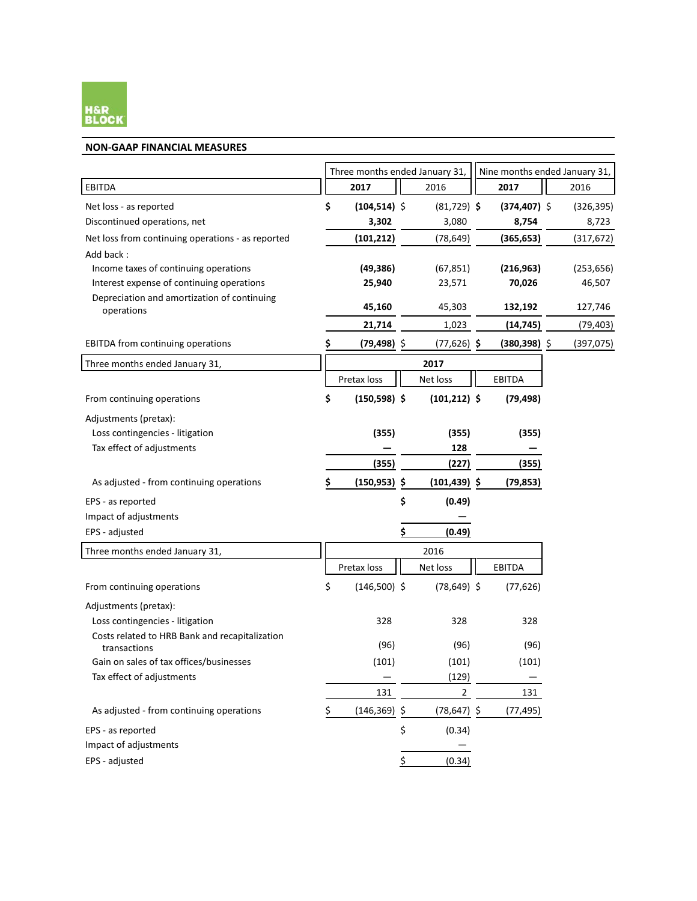

#### **NON-GAAP FINANCIAL MEASURES**

|                                                                |    | Three months ended January 31, |    | Nine months ended January 31, |                 |            |
|----------------------------------------------------------------|----|--------------------------------|----|-------------------------------|-----------------|------------|
| EBITDA                                                         |    | 2017                           |    | 2016                          | 2017            | 2016       |
| Net loss - as reported                                         | \$ | $(104, 514)$ \$                |    | $(81,729)$ \$                 | $(374, 407)$ \$ | (326, 395) |
| Discontinued operations, net                                   |    | 3,302                          |    | 3,080                         | 8,754           | 8,723      |
| Net loss from continuing operations - as reported              |    | (101, 212)                     |    | (78, 649)                     | (365, 653)      | (317, 672) |
| Add back:                                                      |    |                                |    |                               |                 |            |
| Income taxes of continuing operations                          |    | (49, 386)                      |    | (67, 851)                     | (216, 963)      | (253, 656) |
| Interest expense of continuing operations                      |    | 25,940                         |    | 23,571                        | 70,026          | 46,507     |
| Depreciation and amortization of continuing<br>operations      |    | 45,160                         |    | 45,303                        | 132,192         | 127,746    |
|                                                                |    | 21,714                         |    | 1,023                         | (14, 745)       | (79, 403)  |
| <b>EBITDA</b> from continuing operations                       | \$ | $(79, 498)$ \$                 |    | $(77,626)$ \$                 | $(380, 398)$ \$ | (397, 075) |
| Three months ended January 31,                                 |    |                                |    | 2017                          |                 |            |
|                                                                |    | Pretax loss                    |    | Net loss                      | EBITDA          |            |
| From continuing operations                                     | \$ | $(150, 598)$ \$                |    | $(101, 212)$ \$               | (79, 498)       |            |
| Adjustments (pretax):                                          |    |                                |    |                               |                 |            |
| Loss contingencies - litigation                                |    | (355)                          |    | (355)                         | (355)           |            |
| Tax effect of adjustments                                      |    |                                |    | 128                           |                 |            |
|                                                                |    | (355)                          |    | (227)                         | (355)           |            |
| As adjusted - from continuing operations                       |    | $(150, 953)$ \$                |    | $(101, 439)$ \$               | (79, 853)       |            |
| EPS - as reported                                              |    |                                | \$ | (0.49)                        |                 |            |
| Impact of adjustments                                          |    |                                |    |                               |                 |            |
| EPS - adjusted                                                 |    |                                | \$ | (0.49)                        |                 |            |
| Three months ended January 31,                                 |    |                                |    | 2016                          |                 |            |
|                                                                |    | Pretax loss                    |    | Net loss                      | EBITDA          |            |
| From continuing operations                                     | \$ | $(146,500)$ \$                 |    | $(78, 649)$ \$                | (77, 626)       |            |
| Adjustments (pretax):                                          |    |                                |    |                               |                 |            |
| Loss contingencies - litigation                                |    | 328                            |    | 328                           | 328             |            |
| Costs related to HRB Bank and recapitalization<br>transactions |    | (96)                           |    | (96)                          | (96)            |            |
| Gain on sales of tax offices/businesses                        |    | (101)                          |    | (101)                         | (101)           |            |
| Tax effect of adjustments                                      |    |                                |    | (129)                         |                 |            |
|                                                                |    | 131                            |    | $\overline{2}$                | 131             |            |
| As adjusted - from continuing operations                       | Ş  | $(146, 369)$ \$                |    | $(78, 647)$ \$                | (77, 495)       |            |
| EPS - as reported                                              |    |                                | \$ | (0.34)                        |                 |            |
| Impact of adjustments                                          |    |                                |    |                               |                 |            |
| EPS - adjusted                                                 |    |                                | Ş  | (0.34)                        |                 |            |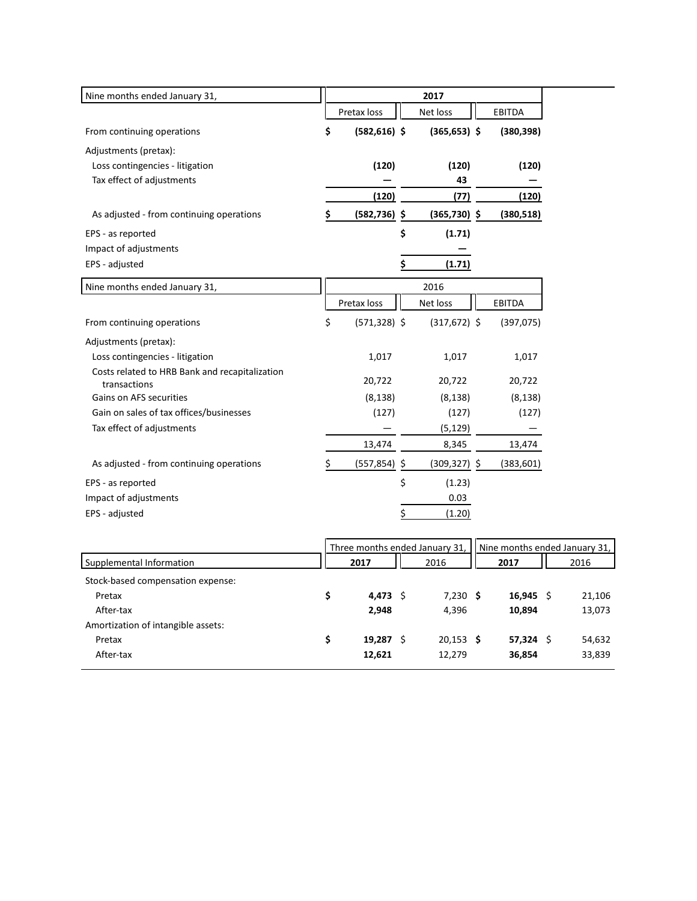| Nine months ended January 31,                                  | 2017 |                 |    |                 |  |               |
|----------------------------------------------------------------|------|-----------------|----|-----------------|--|---------------|
|                                                                |      | Pretax loss     |    | Net loss        |  | EBITDA        |
| From continuing operations                                     | \$   | $(582, 616)$ \$ |    | $(365, 653)$ \$ |  | (380, 398)    |
| Adjustments (pretax):                                          |      |                 |    |                 |  |               |
| Loss contingencies - litigation                                |      | (120)           |    | (120)           |  | (120)         |
| Tax effect of adjustments                                      |      |                 |    | 43              |  |               |
|                                                                |      | (120)           |    | (77)            |  | (120)         |
| As adjusted - from continuing operations                       | \$   | $(582, 736)$ \$ |    | $(365,730)$ \$  |  | (380, 518)    |
| EPS - as reported                                              |      |                 | \$ | (1.71)          |  |               |
| Impact of adjustments                                          |      |                 |    |                 |  |               |
| EPS - adjusted                                                 |      |                 | \$ | (1.71)          |  |               |
| Nine months ended January 31,                                  |      |                 |    | 2016            |  |               |
|                                                                |      | Pretax loss     |    | Net loss        |  | <b>EBITDA</b> |
| From continuing operations                                     | \$   | $(571, 328)$ \$ |    | $(317, 672)$ \$ |  | (397,075)     |
| Adjustments (pretax):                                          |      |                 |    |                 |  |               |
| Loss contingencies - litigation                                |      | 1,017           |    | 1,017           |  | 1,017         |
| Costs related to HRB Bank and recapitalization<br>transactions |      | 20,722          |    | 20,722          |  | 20,722        |
| Gains on AFS securities                                        |      | (8, 138)        |    | (8, 138)        |  | (8, 138)      |
| Gain on sales of tax offices/businesses                        |      | (127)           |    | (127)           |  | (127)         |
| Tax effect of adjustments                                      |      |                 |    | (5, 129)        |  |               |
|                                                                |      | 13,474          |    | 8,345           |  | 13,474        |
| As adjusted - from continuing operations                       | \$   | $(557, 854)$ \$ |    | $(309, 327)$ \$ |  | (383, 601)    |
| EPS - as reported                                              |      |                 | \$ | (1.23)          |  |               |
| Impact of adjustments                                          |      |                 |    | 0.03            |  |               |
| EPS - adjusted                                                 |      |                 | \$ | (1.20)          |  |               |

|                                    |      |        | Three months ended January 31, | Nine months ended January 31, |        |      |        |  |
|------------------------------------|------|--------|--------------------------------|-------------------------------|--------|------|--------|--|
| Supplemental Information           | 2017 |        | 2016                           |                               | 2017   | 2016 |        |  |
| Stock-based compensation expense:  |      |        |                                |                               |        |      |        |  |
| Pretax                             |      | 4,473  | $7,230$ \$                     |                               | 16,945 | - S  | 21,106 |  |
| After-tax                          |      | 2,948  | 4.396                          |                               | 10.894 |      | 13,073 |  |
| Amortization of intangible assets: |      |        |                                |                               |        |      |        |  |
| Pretax                             |      | 19,287 | $20,153$ \$                    |                               | 57,324 | - S  | 54,632 |  |
| After-tax                          |      | 12,621 | 12,279                         |                               | 36,854 |      | 33,839 |  |